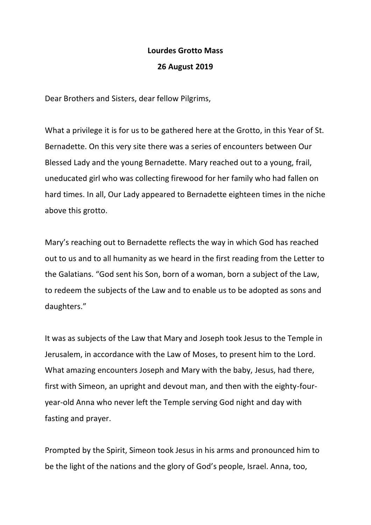## **Lourdes Grotto Mass**

## **26 August 2019**

Dear Brothers and Sisters, dear fellow Pilgrims,

What a privilege it is for us to be gathered here at the Grotto, in this Year of St. Bernadette. On this very site there was a series of encounters between Our Blessed Lady and the young Bernadette. Mary reached out to a young, frail, uneducated girl who was collecting firewood for her family who had fallen on hard times. In all, Our Lady appeared to Bernadette eighteen times in the niche above this grotto.

Mary's reaching out to Bernadette reflects the way in which God has reached out to us and to all humanity as we heard in the first reading from the Letter to the Galatians. "God sent his Son, born of a woman, born a subject of the Law, to redeem the subjects of the Law and to enable us to be adopted as sons and daughters."

It was as subjects of the Law that Mary and Joseph took Jesus to the Temple in Jerusalem, in accordance with the Law of Moses, to present him to the Lord. What amazing encounters Joseph and Mary with the baby, Jesus, had there, first with Simeon, an upright and devout man, and then with the eighty-fouryear-old Anna who never left the Temple serving God night and day with fasting and prayer.

Prompted by the Spirit, Simeon took Jesus in his arms and pronounced him to be the light of the nations and the glory of God's people, Israel. Anna, too,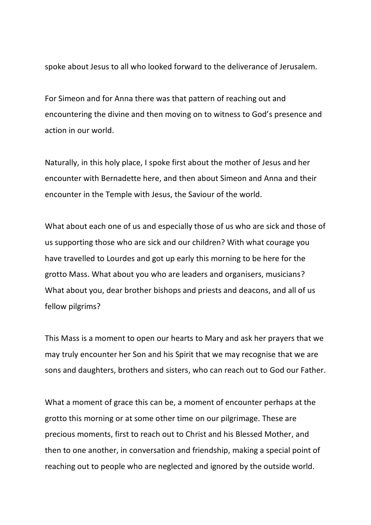spoke about Jesus to all who looked forward to the deliverance of Jerusalem.

For Simeon and for Anna there was that pattern of reaching out and encountering the divine and then moving on to witness to God's presence and action in our world.

Naturally, in this holy place, I spoke first about the mother of Jesus and her encounter with Bernadette here, and then about Simeon and Anna and their encounter in the Temple with Jesus, the Saviour of the world.

What about each one of us and especially those of us who are sick and those of us supporting those who are sick and our children? With what courage you have travelled to Lourdes and got up early this morning to be here for the grotto Mass. What about you who are leaders and organisers, musicians? What about you, dear brother bishops and priests and deacons, and all of us fellow pilgrims?

This Mass is a moment to open our hearts to Mary and ask her prayers that we may truly encounter her Son and his Spirit that we may recognise that we are sons and daughters, brothers and sisters, who can reach out to God our Father.

What a moment of grace this can be, a moment of encounter perhaps at the grotto this morning or at some other time on our pilgrimage. These are precious moments, first to reach out to Christ and his Blessed Mother, and then to one another, in conversation and friendship, making a special point of reaching out to people who are neglected and ignored by the outside world.